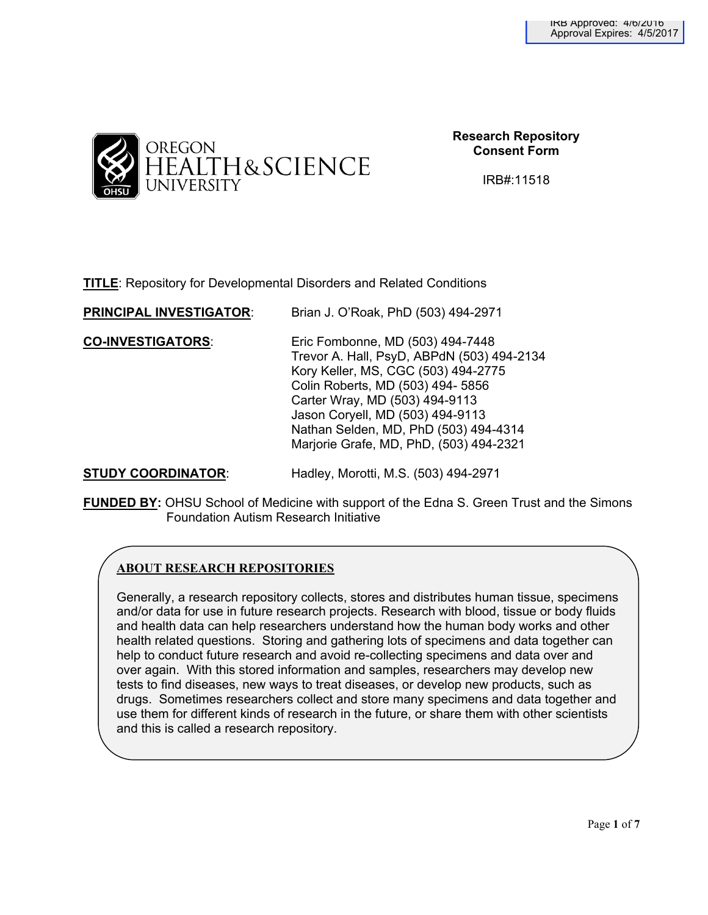

**Research Repository Consent Form**

IRB#:11518

**TITLE**: Repository for Developmental Disorders and Related Conditions

| <b>PRINCIPAL INVESTIGATOR:</b> | Brian J. O'Roak, PhD (503) 494-2971                                                                                                                                                                                                                                                                                  |
|--------------------------------|----------------------------------------------------------------------------------------------------------------------------------------------------------------------------------------------------------------------------------------------------------------------------------------------------------------------|
| <b>CO-INVESTIGATORS:</b>       | Eric Fombonne, MD (503) 494-7448<br>Trevor A. Hall, PsyD, ABPdN (503) 494-2134<br>Kory Keller, MS, CGC (503) 494-2775<br>Colin Roberts, MD (503) 494- 5856<br>Carter Wray, MD (503) 494-9113<br>Jason Coryell, MD (503) 494-9113<br>Nathan Selden, MD, PhD (503) 494-4314<br>Marjorie Grafe, MD, PhD, (503) 494-2321 |
|                                |                                                                                                                                                                                                                                                                                                                      |

**STUDY COORDINATOR**: Hadley, Morotti, M.S. (503) 494-2971

**FUNDED BY:** OHSU School of Medicine with support of the Edna S. Green Trust and the Simons Foundation Autism Research Initiative

# **ABOUT RESEARCH REPOSITORIES**

Generally, a research repository collects, stores and distributes human tissue, specimens and/or data for use in future research projects. Research with blood, tissue or body fluids and health data can help researchers understand how the human body works and other health related questions. Storing and gathering lots of specimens and data together can help to conduct future research and avoid re-collecting specimens and data over and over again. With this stored information and samples, researchers may develop new tests to find diseases, new ways to treat diseases, or develop new products, such as drugs. Sometimes researchers collect and store many specimens and data together and use them for different kinds of research in the future, or share them with other scientists and this is called a research repository.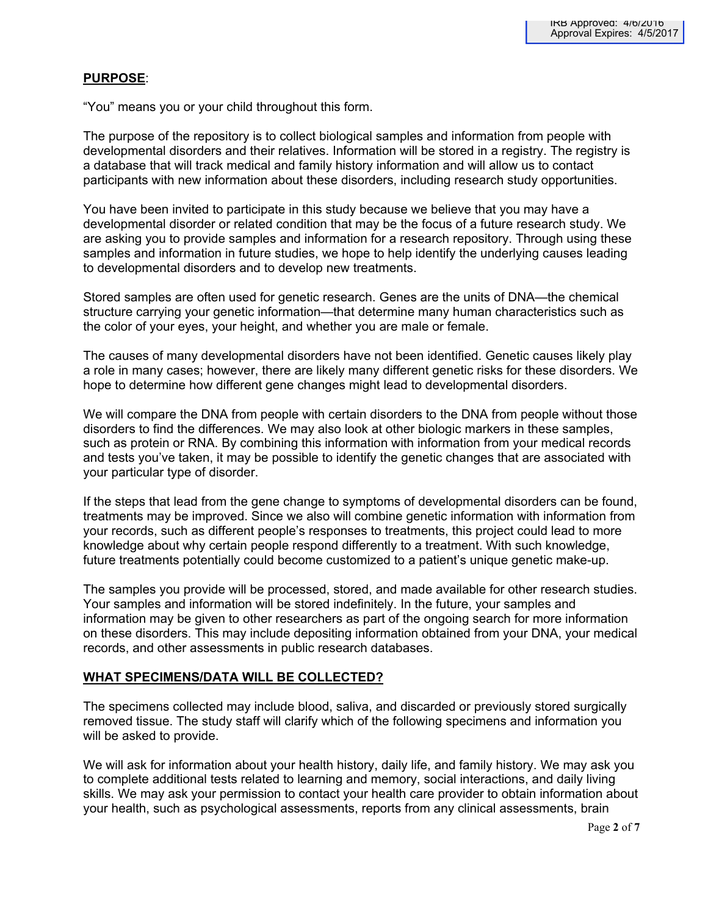# **PURPOSE**:

"You" means you or your child throughout this form.

The purpose of the repository is to collect biological samples and information from people with developmental disorders and their relatives. Information will be stored in a registry. The registry is a database that will track medical and family history information and will allow us to contact participants with new information about these disorders, including research study opportunities.

You have been invited to participate in this study because we believe that you may have a developmental disorder or related condition that may be the focus of a future research study. We are asking you to provide samples and information for a research repository. Through using these samples and information in future studies, we hope to help identify the underlying causes leading to developmental disorders and to develop new treatments.

Stored samples are often used for genetic research. Genes are the units of DNA—the chemical structure carrying your genetic information—that determine many human characteristics such as the color of your eyes, your height, and whether you are male or female.

The causes of many developmental disorders have not been identified. Genetic causes likely play a role in many cases; however, there are likely many different genetic risks for these disorders. We hope to determine how different gene changes might lead to developmental disorders.

We will compare the DNA from people with certain disorders to the DNA from people without those disorders to find the differences. We may also look at other biologic markers in these samples, such as protein or RNA. By combining this information with information from your medical records and tests you've taken, it may be possible to identify the genetic changes that are associated with your particular type of disorder.

If the steps that lead from the gene change to symptoms of developmental disorders can be found, treatments may be improved. Since we also will combine genetic information with information from your records, such as different people's responses to treatments, this project could lead to more knowledge about why certain people respond differently to a treatment. With such knowledge, future treatments potentially could become customized to a patient's unique genetic make-up.

The samples you provide will be processed, stored, and made available for other research studies. Your samples and information will be stored indefinitely. In the future, your samples and information may be given to other researchers as part of the ongoing search for more information on these disorders. This may include depositing information obtained from your DNA, your medical records, and other assessments in public research databases.

## **WHAT SPECIMENS/DATA WILL BE COLLECTED?**

The specimens collected may include blood, saliva, and discarded or previously stored surgically removed tissue. The study staff will clarify which of the following specimens and information you will be asked to provide.

We will ask for information about your health history, daily life, and family history. We may ask you to complete additional tests related to learning and memory, social interactions, and daily living skills. We may ask your permission to contact your health care provider to obtain information about your health, such as psychological assessments, reports from any clinical assessments, brain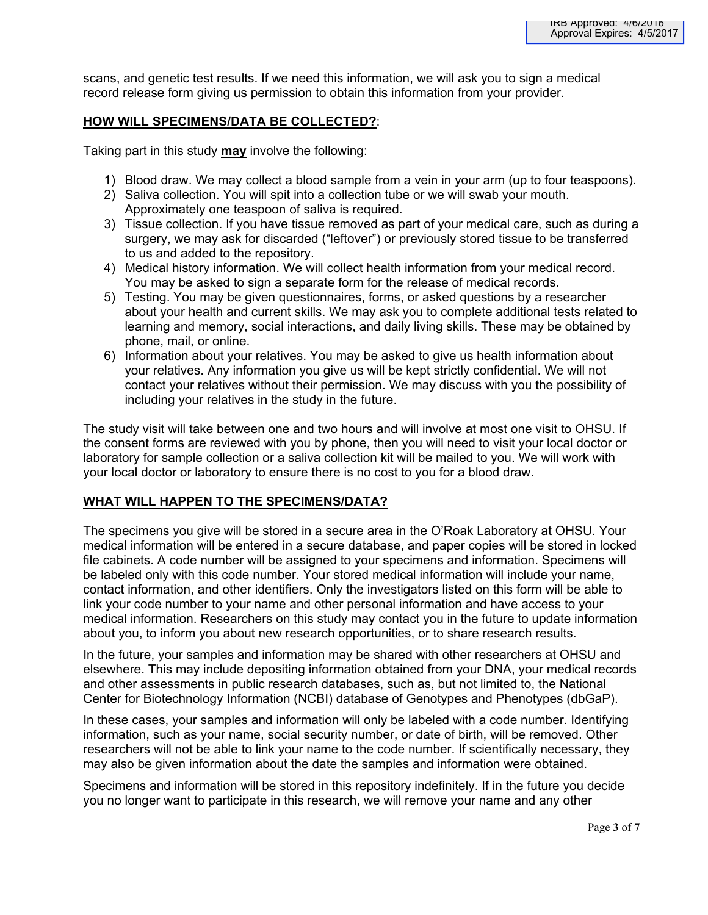scans, and genetic test results. If we need this information, we will ask you to sign a medical record release form giving us permission to obtain this information from your provider.

## **HOW WILL SPECIMENS/DATA BE COLLECTED?**:

Taking part in this study **may** involve the following:

- 1) Blood draw. We may collect a blood sample from a vein in your arm (up to four teaspoons).
- 2) Saliva collection. You will spit into a collection tube or we will swab your mouth. Approximately one teaspoon of saliva is required.
- 3) Tissue collection. If you have tissue removed as part of your medical care, such as during a surgery, we may ask for discarded ("leftover") or previously stored tissue to be transferred to us and added to the repository.
- 4) Medical history information. We will collect health information from your medical record. You may be asked to sign a separate form for the release of medical records.
- 5) Testing. You may be given questionnaires, forms, or asked questions by a researcher about your health and current skills. We may ask you to complete additional tests related to learning and memory, social interactions, and daily living skills. These may be obtained by phone, mail, or online.
- 6) Information about your relatives. You may be asked to give us health information about your relatives. Any information you give us will be kept strictly confidential. We will not contact your relatives without their permission. We may discuss with you the possibility of including your relatives in the study in the future.

The study visit will take between one and two hours and will involve at most one visit to OHSU. If the consent forms are reviewed with you by phone, then you will need to visit your local doctor or laboratory for sample collection or a saliva collection kit will be mailed to you. We will work with your local doctor or laboratory to ensure there is no cost to you for a blood draw.

## **WHAT WILL HAPPEN TO THE SPECIMENS/DATA?**

The specimens you give will be stored in a secure area in the O'Roak Laboratory at OHSU. Your medical information will be entered in a secure database, and paper copies will be stored in locked file cabinets. A code number will be assigned to your specimens and information. Specimens will be labeled only with this code number. Your stored medical information will include your name, contact information, and other identifiers. Only the investigators listed on this form will be able to link your code number to your name and other personal information and have access to your medical information. Researchers on this study may contact you in the future to update information about you, to inform you about new research opportunities, or to share research results.

In the future, your samples and information may be shared with other researchers at OHSU and elsewhere. This may include depositing information obtained from your DNA, your medical records and other assessments in public research databases, such as, but not limited to, the National Center for Biotechnology Information (NCBI) database of Genotypes and Phenotypes (dbGaP).

In these cases, your samples and information will only be labeled with a code number. Identifying information, such as your name, social security number, or date of birth, will be removed. Other researchers will not be able to link your name to the code number. If scientifically necessary, they may also be given information about the date the samples and information were obtained.

Specimens and information will be stored in this repository indefinitely. If in the future you decide you no longer want to participate in this research, we will remove your name and any other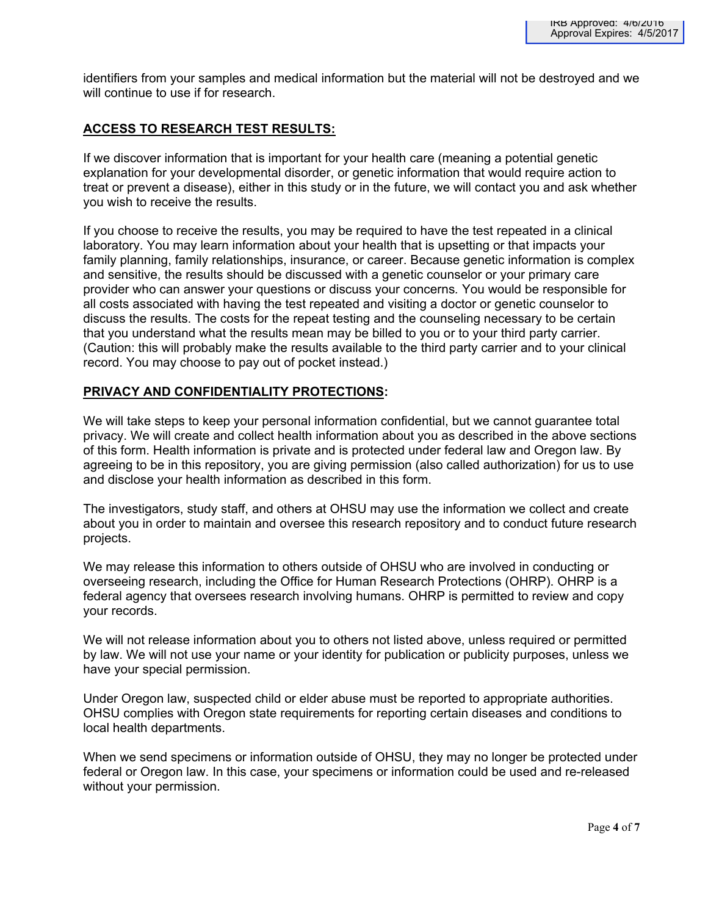identifiers from your samples and medical information but the material will not be destroyed and we will continue to use if for research.

# **ACCESS TO RESEARCH TEST RESULTS:**

If we discover information that is important for your health care (meaning a potential genetic explanation for your developmental disorder, or genetic information that would require action to treat or prevent a disease), either in this study or in the future, we will contact you and ask whether you wish to receive the results.

If you choose to receive the results, you may be required to have the test repeated in a clinical laboratory. You may learn information about your health that is upsetting or that impacts your family planning, family relationships, insurance, or career. Because genetic information is complex and sensitive, the results should be discussed with a genetic counselor or your primary care provider who can answer your questions or discuss your concerns*.* You would be responsible for all costs associated with having the test repeated and visiting a doctor or genetic counselor to discuss the results. The costs for the repeat testing and the counseling necessary to be certain that you understand what the results mean may be billed to you or to your third party carrier. (Caution: this will probably make the results available to the third party carrier and to your clinical record. You may choose to pay out of pocket instead.)

# **PRIVACY AND CONFIDENTIALITY PROTECTIONS:**

We will take steps to keep your personal information confidential, but we cannot guarantee total privacy. We will create and collect health information about you as described in the above sections of this form. Health information is private and is protected under federal law and Oregon law. By agreeing to be in this repository, you are giving permission (also called authorization) for us to use and disclose your health information as described in this form.

The investigators, study staff, and others at OHSU may use the information we collect and create about you in order to maintain and oversee this research repository and to conduct future research projects.

We may release this information to others outside of OHSU who are involved in conducting or overseeing research, including the Office for Human Research Protections (OHRP). OHRP is a federal agency that oversees research involving humans. OHRP is permitted to review and copy your records.

We will not release information about you to others not listed above, unless required or permitted by law. We will not use your name or your identity for publication or publicity purposes, unless we have your special permission.

Under Oregon law, suspected child or elder abuse must be reported to appropriate authorities. OHSU complies with Oregon state requirements for reporting certain diseases and conditions to local health departments.

When we send specimens or information outside of OHSU, they may no longer be protected under federal or Oregon law. In this case, your specimens or information could be used and re-released without your permission.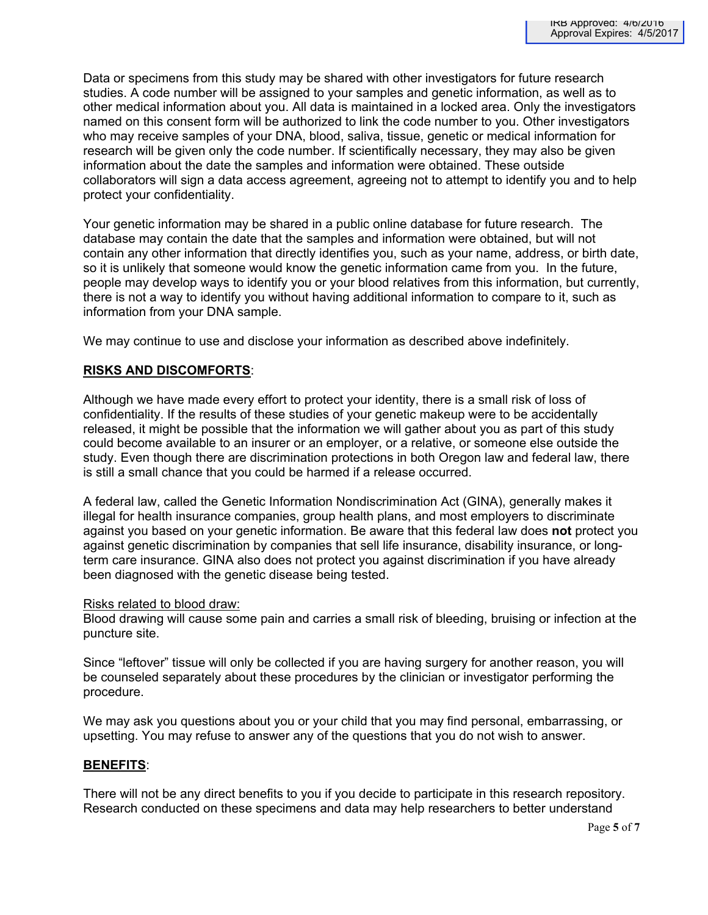Data or specimens from this study may be shared with other investigators for future research studies. A code number will be assigned to your samples and genetic information, as well as to other medical information about you. All data is maintained in a locked area. Only the investigators named on this consent form will be authorized to link the code number to you. Other investigators who may receive samples of your DNA, blood, saliva, tissue, genetic or medical information for research will be given only the code number. If scientifically necessary, they may also be given information about the date the samples and information were obtained. These outside collaborators will sign a data access agreement, agreeing not to attempt to identify you and to help protect your confidentiality.

Your genetic information may be shared in a public online database for future research. The database may contain the date that the samples and information were obtained, but will not contain any other information that directly identifies you, such as your name, address, or birth date, so it is unlikely that someone would know the genetic information came from you. In the future, people may develop ways to identify you or your blood relatives from this information, but currently, there is not a way to identify you without having additional information to compare to it, such as information from your DNA sample.

We may continue to use and disclose your information as described above indefinitely.

# **RISKS AND DISCOMFORTS**:

Although we have made every effort to protect your identity, there is a small risk of loss of confidentiality. If the results of these studies of your genetic makeup were to be accidentally released, it might be possible that the information we will gather about you as part of this study could become available to an insurer or an employer, or a relative, or someone else outside the study. Even though there are discrimination protections in both Oregon law and federal law, there is still a small chance that you could be harmed if a release occurred.

A federal law, called the Genetic Information Nondiscrimination Act (GINA), generally makes it illegal for health insurance companies, group health plans, and most employers to discriminate against you based on your genetic information. Be aware that this federal law does **not** protect you against genetic discrimination by companies that sell life insurance, disability insurance, or longterm care insurance. GINA also does not protect you against discrimination if you have already been diagnosed with the genetic disease being tested.

## Risks related to blood draw:

Blood drawing will cause some pain and carries a small risk of bleeding, bruising or infection at the puncture site.

Since "leftover" tissue will only be collected if you are having surgery for another reason, you will be counseled separately about these procedures by the clinician or investigator performing the procedure.

We may ask you questions about you or your child that you may find personal, embarrassing, or upsetting. You may refuse to answer any of the questions that you do not wish to answer.

## **BENEFITS**:

There will not be any direct benefits to you if you decide to participate in this research repository. Research conducted on these specimens and data may help researchers to better understand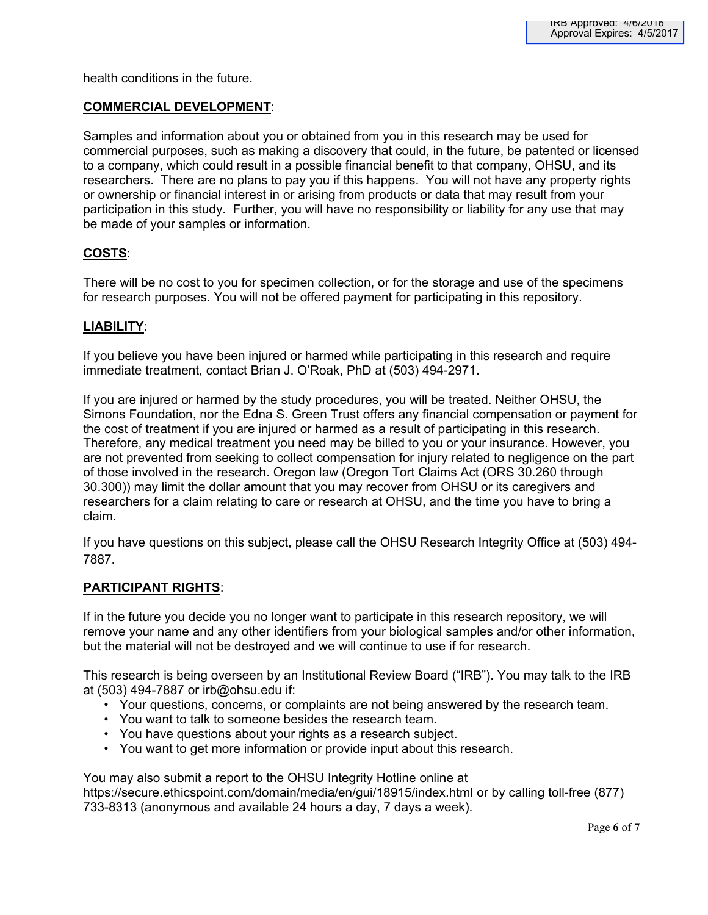health conditions in the future.

#### **COMMERCIAL DEVELOPMENT**:

Samples and information about you or obtained from you in this research may be used for commercial purposes, such as making a discovery that could, in the future, be patented or licensed to a company, which could result in a possible financial benefit to that company, OHSU, and its researchers. There are no plans to pay you if this happens. You will not have any property rights or ownership or financial interest in or arising from products or data that may result from your participation in this study. Further, you will have no responsibility or liability for any use that may be made of your samples or information.

#### **COSTS**:

There will be no cost to you for specimen collection, or for the storage and use of the specimens for research purposes. You will not be offered payment for participating in this repository.

#### **LIABILITY**:

If you believe you have been injured or harmed while participating in this research and require immediate treatment, contact Brian J. O'Roak, PhD at (503) 494-2971.

If you are injured or harmed by the study procedures, you will be treated. Neither OHSU, the Simons Foundation, nor the Edna S. Green Trust offers any financial compensation or payment for the cost of treatment if you are injured or harmed as a result of participating in this research. Therefore, any medical treatment you need may be billed to you or your insurance. However, you are not prevented from seeking to collect compensation for injury related to negligence on the part of those involved in the research. Oregon law (Oregon Tort Claims Act (ORS 30.260 through 30.300)) may limit the dollar amount that you may recover from OHSU or its caregivers and researchers for a claim relating to care or research at OHSU, and the time you have to bring a claim.

If you have questions on this subject, please call the OHSU Research Integrity Office at (503) 494- 7887.

#### **PARTICIPANT RIGHTS**:

If in the future you decide you no longer want to participate in this research repository, we will remove your name and any other identifiers from your biological samples and/or other information, but the material will not be destroyed and we will continue to use if for research.

This research is being overseen by an Institutional Review Board ("IRB"). You may talk to the IRB at (503) 494-7887 or irb@ohsu.edu if:

- Your questions, concerns, or complaints are not being answered by the research team.
- You want to talk to someone besides the research team.
- You have questions about your rights as a research subject.
- You want to get more information or provide input about this research.

You may also submit a report to the OHSU Integrity Hotline online at https://secure.ethicspoint.com/domain/media/en/gui/18915/index.html or by calling toll-free (877) 733-8313 (anonymous and available 24 hours a day, 7 days a week).